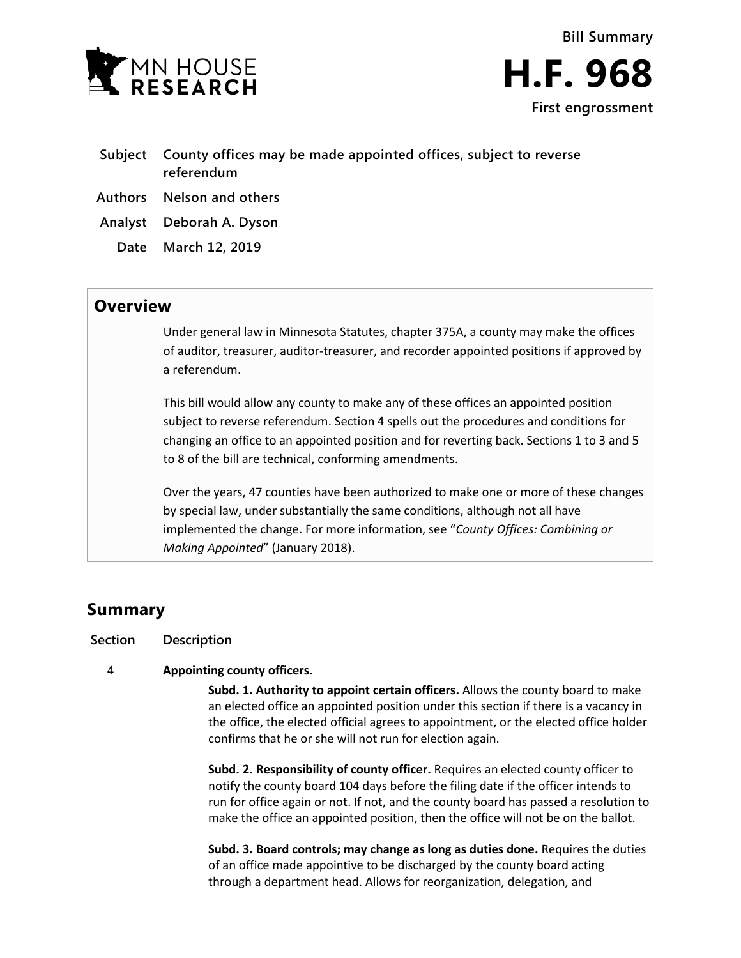



- **Subject County offices may be made appointed offices, subject to reverse referendum Authors Nelson and others**
- **Analyst Deborah A. Dyson**
	- **Date March 12, 2019**

## **Overview**

Under general law in Minnesota Statutes, chapter 375A, a county may make the offices of auditor, treasurer, auditor-treasurer, and recorder appointed positions if approved by a referendum.

This bill would allow any county to make any of these offices an appointed position subject to reverse referendum. Section 4 spells out the procedures and conditions for changing an office to an appointed position and for reverting back. Sections 1 to 3 and 5 to 8 of the bill are technical, conforming amendments.

Over the years, 47 counties have been authorized to make one or more of these changes by special law, under substantially the same conditions, although not all have implemented the change. For more information, see "*County Offices: Combining or Making Appointed*" (January 2018).

## **Summary**

**Section Description**

## 4 **Appointing county officers.**

**Subd. 1. Authority to appoint certain officers.** Allows the county board to make an elected office an appointed position under this section if there is a vacancy in the office, the elected official agrees to appointment, or the elected office holder confirms that he or she will not run for election again.

**Subd. 2. Responsibility of county officer.** Requires an elected county officer to notify the county board 104 days before the filing date if the officer intends to run for office again or not. If not, and the county board has passed a resolution to make the office an appointed position, then the office will not be on the ballot.

**Subd. 3. Board controls; may change as long as duties done.** Requires the duties of an office made appointive to be discharged by the county board acting through a department head. Allows for reorganization, delegation, and